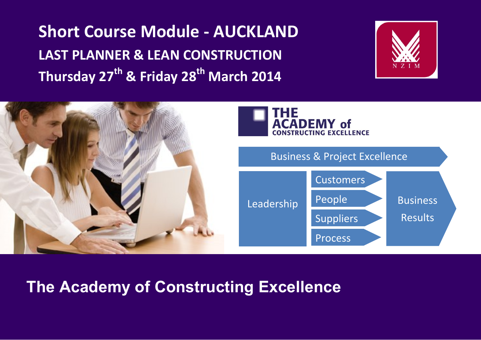**Short Course Module - AUCKLAND LAST PLANNER & LEAN CONSTRUCTION Thursday 27 th & Friday 28 th March 2014**





## **The Academy of Constructing Excellence**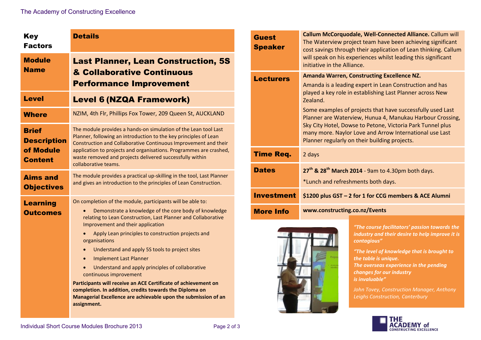| <b>Key</b><br><b>Factors</b>                                      | <b>Details</b>                                                                                                                                                                                                                                                                                                                                                                                                                                                                                                                                                                                                                                                                               |
|-------------------------------------------------------------------|----------------------------------------------------------------------------------------------------------------------------------------------------------------------------------------------------------------------------------------------------------------------------------------------------------------------------------------------------------------------------------------------------------------------------------------------------------------------------------------------------------------------------------------------------------------------------------------------------------------------------------------------------------------------------------------------|
| <b>Module</b><br><b>Name</b>                                      | <b>Last Planner, Lean Construction, 5S</b><br>& Collaborative Continuous<br><b>Performance Improvement</b>                                                                                                                                                                                                                                                                                                                                                                                                                                                                                                                                                                                   |
| <b>Level</b>                                                      | <b>Level 6 (NZQA Framework)</b>                                                                                                                                                                                                                                                                                                                                                                                                                                                                                                                                                                                                                                                              |
| <b>Where</b>                                                      | NZIM, 4th Flr, Phillips Fox Tower, 209 Queen St, AUCKLAND                                                                                                                                                                                                                                                                                                                                                                                                                                                                                                                                                                                                                                    |
| <b>Brief</b><br><b>Description</b><br>of Module<br><b>Content</b> | The module provides a hands-on simulation of the Lean tool Last<br>Planner, following an introduction to the key principles of Lean<br>Construction and Collaborative Continuous Improvement and their<br>application to projects and organisations. Programmes are crashed,<br>waste removed and projects delivered successfully within<br>collaborative teams.                                                                                                                                                                                                                                                                                                                             |
| <b>Aims and</b><br><b>Objectives</b>                              | The module provides a practical up-skilling in the tool, Last Planner<br>and gives an introduction to the principles of Lean Construction.                                                                                                                                                                                                                                                                                                                                                                                                                                                                                                                                                   |
| <b>Learning</b><br><b>Outcomes</b>                                | On completion of the module, participants will be able to:<br>Demonstrate a knowledge of the core body of knowledge<br>relating to Lean Construction, Last Planner and Collaborative<br>Improvement and their application<br>Apply Lean principles to construction projects and<br>organisations<br>Understand and apply 5S tools to project sites<br>$\bullet$<br><b>Implement Last Planner</b><br>Understand and apply principles of collaborative<br>continuous improvement<br>Participants will receive an ACE Certificate of achievement on<br>completion. In addition, credits towards the Diploma on<br>Managerial Excellence are achievable upon the submission of an<br>assignment. |

| <b>Guest</b><br><b>Speaker</b> | Callum McCorquodale, Well-Connected Alliance. Callum will<br>The Waterview project team have been achieving significant<br>cost savings through their application of Lean thinking. Callum<br>will speak on his experiences whilst leading this significant<br>initiative in the Alliance.                                                                                                                                                                                                 |
|--------------------------------|--------------------------------------------------------------------------------------------------------------------------------------------------------------------------------------------------------------------------------------------------------------------------------------------------------------------------------------------------------------------------------------------------------------------------------------------------------------------------------------------|
| <b>Lecturers</b>               | <b>Amanda Warren, Constructing Excellence NZ.</b><br>Amanda is a leading expert in Lean Construction and has<br>played a key role in establishing Last Planner across New<br>Zealand.<br>Some examples of projects that have successfully used Last<br>Planner are Waterview, Hunua 4, Manukau Harbour Crossing,<br>Sky City Hotel, Dowse to Petone, Victoria Park Tunnel plus<br>many more. Naylor Love and Arrow International use Last<br>Planner regularly on their building projects. |
| <b>Time Req.</b>               | 2 days                                                                                                                                                                                                                                                                                                                                                                                                                                                                                     |
| <b>Dates</b>                   | 27 <sup>th</sup> & 28 <sup>th</sup> March 2014 - 9am to 4.30pm both days.<br>*Lunch and refreshments both days.                                                                                                                                                                                                                                                                                                                                                                            |
| <b>Investment</b>              | \$1200 plus GST - 2 for 1 for CCG members & ACE Alumni                                                                                                                                                                                                                                                                                                                                                                                                                                     |
| <b>More Info</b>               | www.constructing.co.nz/Events                                                                                                                                                                                                                                                                                                                                                                                                                                                              |



*"The course facilitators' passion towards the industry and their desire to help improve it is contagious"*

*"The level of knowledge that is brought to the table is unique. The overseas experience in the pending changes for our industry is invaluable"*

*John Tovey, Construction Manager, Anthony Leighs Construction, Canterbury*